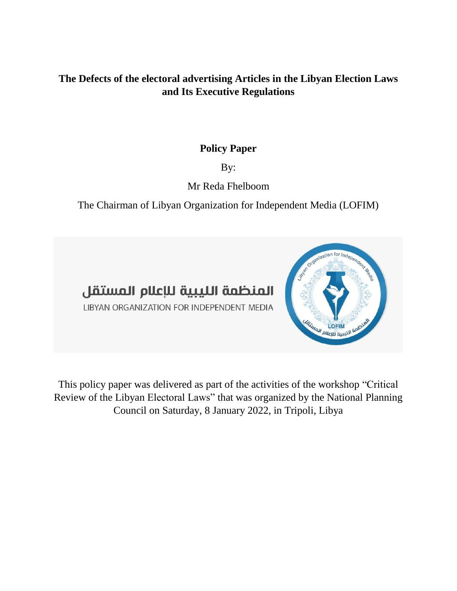### **The Defects of the electoral advertising Articles in the Libyan Election Laws and Its Executive Regulations**

### **Policy Paper**

By:

# Mr Reda Fhelboom

The Chairman of Libyan Organization for Independent Media (LOFIM)



LIBYAN ORGANIZATION FOR INDEPENDENT MEDIA



This policy paper was delivered as part of the activities of the workshop "Critical Review of the Libyan Electoral Laws" that was organized by the National Planning Council on Saturday, 8 January 2022, in Tripoli, Libya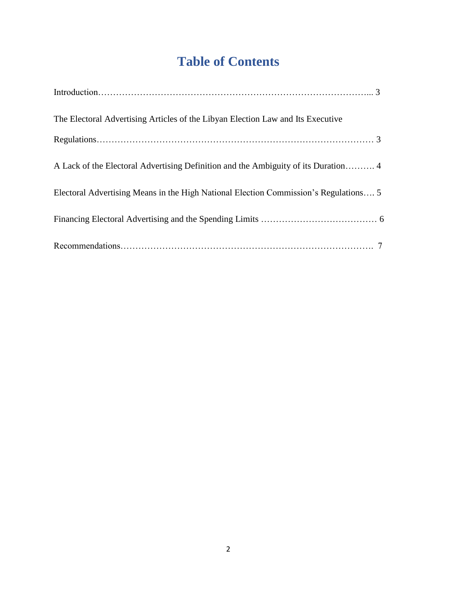# **Table of Contents**

| The Electoral Advertising Articles of the Libyan Election Law and Its Executive      |
|--------------------------------------------------------------------------------------|
|                                                                                      |
| A Lack of the Electoral Advertising Definition and the Ambiguity of its Duration 4   |
| Electoral Advertising Means in the High National Election Commission's Regulations 5 |
|                                                                                      |
|                                                                                      |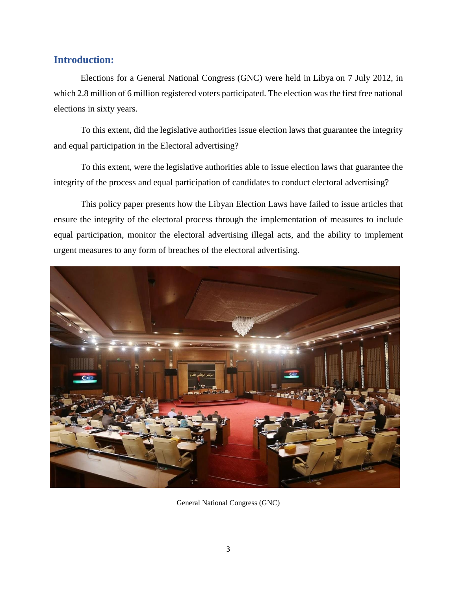### **Introduction:**

Elections for a General National Congress (GNC) were held in [Libya](https://en.wikipedia.org/wiki/Libya) on 7 July 2012, in which 2.8 million of 6 million registered voters participated. The election was the first free national elections in sixty years.

To this extent, did the legislative authorities issue election laws that guarantee the integrity and equal participation in the Electoral advertising?

To this extent, were the legislative authorities able to issue election laws that guarantee the integrity of the process and equal participation of candidates to conduct electoral advertising?

This policy paper presents how the Libyan Election Laws have failed to issue articles that ensure the integrity of the electoral process through the implementation of measures to include equal participation, monitor the electoral advertising illegal acts, and the ability to implement urgent measures to any form of breaches of the electoral advertising.



General National Congress (GNC)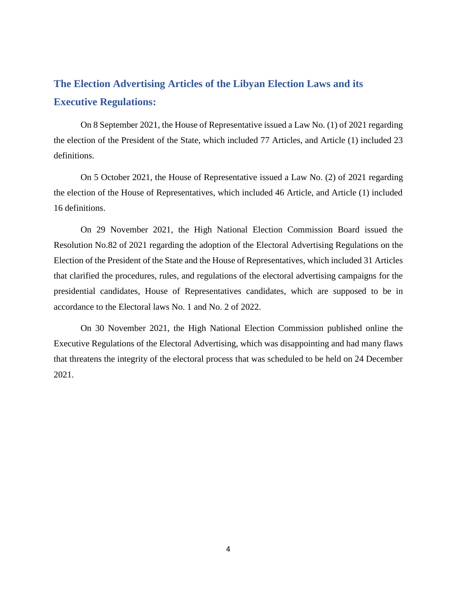# **The Election Advertising Articles of the Libyan Election Laws and its Executive Regulations:**

On 8 September 2021, the House of Representative issued a Law No. (1) of 2021 regarding the election of the President of the State, which included 77 Articles, and Article (1) included 23 definitions.

On 5 October 2021, the House of Representative issued a Law No. (2) of 2021 regarding the election of the House of Representatives, which included 46 Article, and Article (1) included 16 definitions.

On 29 November 2021, the High National Election Commission Board issued the Resolution No.82 of 2021 regarding the adoption of the Electoral Advertising Regulations on the Election of the President of the State and the House of Representatives, which included 31 Articles that clarified the procedures, rules, and regulations of the electoral advertising campaigns for the presidential candidates, House of Representatives candidates, which are supposed to be in accordance to the Electoral laws No. 1 and No. 2 of 2022.

On 30 November 2021, the High National Election Commission published online the Executive Regulations of the Electoral Advertising, which was disappointing and had many flaws that threatens the integrity of the electoral process that was scheduled to be held on 24 December 2021.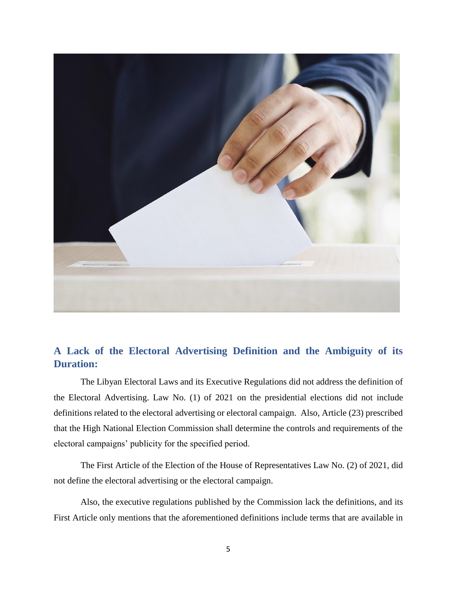

## **A Lack of the Electoral Advertising Definition and the Ambiguity of its Duration:**

The Libyan Electoral Laws and its Executive Regulations did not address the definition of the Electoral Advertising. Law No. (1) of 2021 on the presidential elections did not include definitions related to the electoral advertising or electoral campaign. Also, Article (23) prescribed that the High National Election Commission shall determine the controls and requirements of the electoral campaigns' publicity for the specified period.

The First Article of the Election of the House of Representatives Law No. (2) of 2021, did not define the electoral advertising or the electoral campaign.

Also, the executive regulations published by the Commission lack the definitions, and its First Article only mentions that the aforementioned definitions include terms that are available in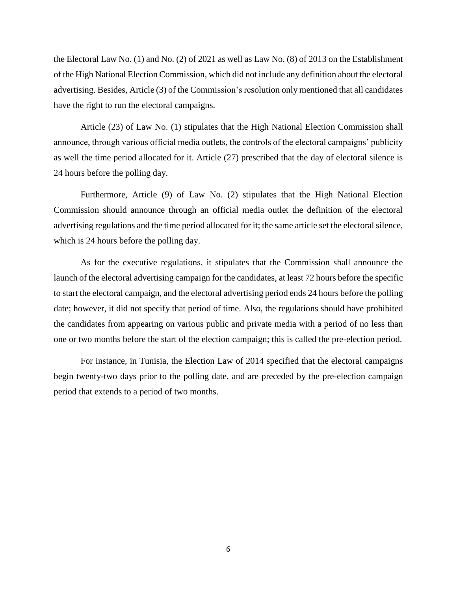the Electoral Law No. (1) and No. (2) of 2021 as well as Law No. (8) of 2013 on the Establishment of the High National Election Commission, which did not include any definition about the electoral advertising. Besides, Article (3) of the Commission's resolution only mentioned that all candidates have the right to run the electoral campaigns.

Article (23) of Law No. (1) stipulates that the High National Election Commission shall announce, through various official media outlets, the controls of the electoral campaigns' publicity as well the time period allocated for it. Article (27) prescribed that the day of electoral silence is 24 hours before the polling day.

Furthermore, Article (9) of Law No. (2) stipulates that the High National Election Commission should announce through an official media outlet the definition of the electoral advertising regulations and the time period allocated for it; the same article set the electoral silence, which is 24 hours before the polling day.

As for the executive regulations, it stipulates that the Commission shall announce the launch of the electoral advertising campaign for the candidates, at least 72 hours before the specific to start the electoral campaign, and the electoral advertising period ends 24 hours before the polling date; however, it did not specify that period of time. Also, the regulations should have prohibited the candidates from appearing on various public and private media with a period of no less than one or two months before the start of the election campaign; this is called the pre-election period.

For instance, in Tunisia, the Election Law of 2014 specified that the electoral campaigns begin twenty-two days prior to the polling date, and are preceded by the pre-election campaign period that extends to a period of two months.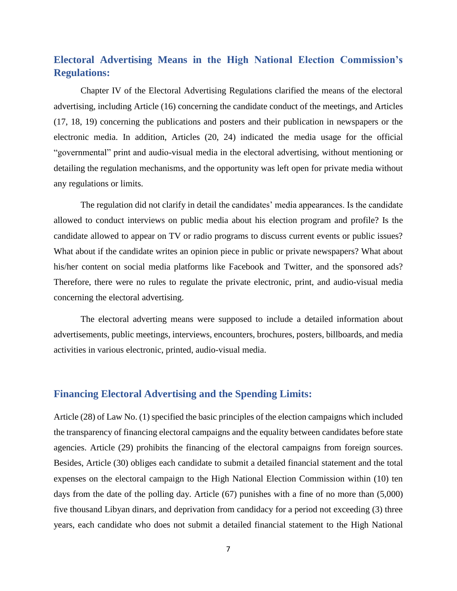### **Electoral Advertising Means in the High National Election Commission's Regulations:**

Chapter IV of the Electoral Advertising Regulations clarified the means of the electoral advertising, including Article (16) concerning the candidate conduct of the meetings, and Articles (17, 18, 19) concerning the publications and posters and their publication in newspapers or the electronic media. In addition, Articles (20, 24) indicated the media usage for the official "governmental" print and audio-visual media in the electoral advertising, without mentioning or detailing the regulation mechanisms, and the opportunity was left open for private media without any regulations or limits.

The regulation did not clarify in detail the candidates' media appearances. Is the candidate allowed to conduct interviews on public media about his election program and profile? Is the candidate allowed to appear on TV or radio programs to discuss current events or public issues? What about if the candidate writes an opinion piece in public or private newspapers? What about his/her content on social media platforms like Facebook and Twitter, and the sponsored ads? Therefore, there were no rules to regulate the private electronic, print, and audio-visual media concerning the electoral advertising.

The electoral adverting means were supposed to include a detailed information about advertisements, public meetings, interviews, encounters, brochures, posters, billboards, and media activities in various electronic, printed, audio-visual media.

#### **Financing Electoral Advertising and the Spending Limits:**

Article (28) of Law No. (1) specified the basic principles of the election campaigns which included the transparency of financing electoral campaigns and the equality between candidates before state agencies. Article (29) prohibits the financing of the electoral campaigns from foreign sources. Besides, Article (30) obliges each candidate to submit a detailed financial statement and the total expenses on the electoral campaign to the High National Election Commission within (10) ten days from the date of the polling day. Article (67) punishes with a fine of no more than (5,000) five thousand Libyan dinars, and deprivation from candidacy for a period not exceeding (3) three years, each candidate who does not submit a detailed financial statement to the High National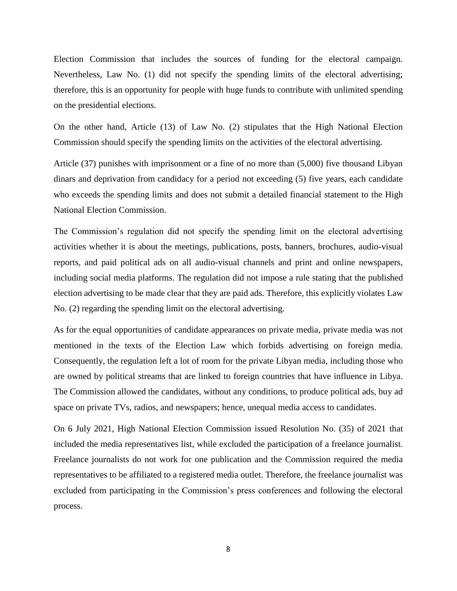Election Commission that includes the sources of funding for the electoral campaign. Nevertheless, Law No. (1) did not specify the spending limits of the electoral advertising; therefore, this is an opportunity for people with huge funds to contribute with unlimited spending on the presidential elections.

On the other hand, Article (13) of Law No. (2) stipulates that the High National Election Commission should specify the spending limits on the activities of the electoral advertising.

Article (37) punishes with imprisonment or a fine of no more than (5,000) five thousand Libyan dinars and deprivation from candidacy for a period not exceeding (5) five years, each candidate who exceeds the spending limits and does not submit a detailed financial statement to the High National Election Commission.

The Commission's regulation did not specify the spending limit on the electoral advertising activities whether it is about the meetings, publications, posts, banners, brochures, audio-visual reports, and paid political ads on all audio-visual channels and print and online newspapers, including social media platforms. The regulation did not impose a rule stating that the published election advertising to be made clear that they are paid ads. Therefore, this explicitly violates Law No. (2) regarding the spending limit on the electoral advertising.

As for the equal opportunities of candidate appearances on private media, private media was not mentioned in the texts of the Election Law which forbids advertising on foreign media. Consequently, the regulation left a lot of room for the private Libyan media, including those who are owned by political streams that are linked to foreign countries that have influence in Libya. The Commission allowed the candidates, without any conditions, to produce political ads, buy ad space on private TVs, radios, and newspapers; hence, unequal media access to candidates.

On 6 July 2021, High National Election Commission issued Resolution No. (35) of 2021 that included the media representatives list, while excluded the participation of a freelance journalist. Freelance journalists do not work for one publication and the Commission required the media representatives to be affiliated to a registered media outlet. Therefore, the freelance journalist was excluded from participating in the Commission's press conferences and following the electoral process.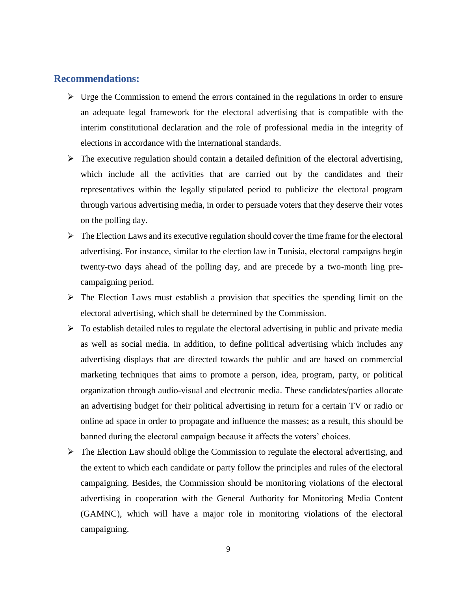### **Recommendations:**

- $\triangleright$  Urge the Commission to emend the errors contained in the regulations in order to ensure an adequate legal framework for the electoral advertising that is compatible with the interim constitutional declaration and the role of professional media in the integrity of elections in accordance with the international standards.
- $\triangleright$  The executive regulation should contain a detailed definition of the electoral advertising, which include all the activities that are carried out by the candidates and their representatives within the legally stipulated period to publicize the electoral program through various advertising media, in order to persuade voters that they deserve their votes on the polling day.
- $\triangleright$  The Election Laws and its executive regulation should cover the time frame for the electoral advertising. For instance, similar to the election law in Tunisia, electoral campaigns begin twenty-two days ahead of the polling day, and are precede by a two-month ling precampaigning period.
- $\triangleright$  The Election Laws must establish a provision that specifies the spending limit on the electoral advertising, which shall be determined by the Commission.
- $\triangleright$  To establish detailed rules to regulate the electoral advertising in public and private media as well as social media. In addition, to define political advertising which includes any advertising displays that are directed towards the public and are based on commercial marketing techniques that aims to promote a person, idea, program, party, or political organization through audio-visual and electronic media. These candidates/parties allocate an advertising budget for their political advertising in return for a certain TV or radio or online ad space in order to propagate and influence the masses; as a result, this should be banned during the electoral campaign because it affects the voters' choices.
- $\triangleright$  The Election Law should oblige the Commission to regulate the electoral advertising, and the extent to which each candidate or party follow the principles and rules of the electoral campaigning. Besides, the Commission should be monitoring violations of the electoral advertising in cooperation with the General Authority for Monitoring Media Content (GAMNC), which will have a major role in monitoring violations of the electoral campaigning.